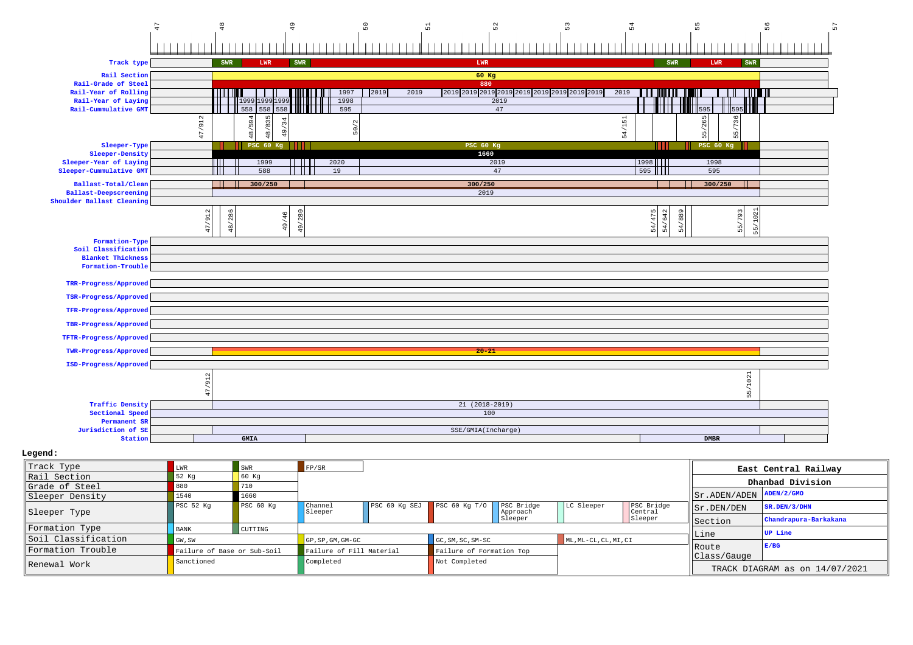

## **Legend:**

| Track Type          |                             | SWR            | FP/SR                            |                             |                          |                        |                       |                       |                                               | East Central Railway  |
|---------------------|-----------------------------|----------------|----------------------------------|-----------------------------|--------------------------|------------------------|-----------------------|-----------------------|-----------------------------------------------|-----------------------|
| Rail Section        | 52 Kg                       | 60 Kq          |                                  |                             |                          |                        |                       |                       |                                               | Dhanbad Division      |
| Grade of Steel      | 880                         |                |                                  |                             |                          |                        |                       |                       |                                               |                       |
| Sleeper Density     | 1540                        | 1660           |                                  |                             |                          |                        |                       |                       | $  $ Sr. ADEN/ADEN $ $ ADEN/2/GMO             |                       |
| Sleeper Type        | PSC 52 Kq                   | PSC 60 Kg      | Channel<br>Sleeper               | PSC 60 Kg SEJ PSC 60 Kg T/O |                          | PSC Bridge<br>Approach | LC Sleeper            | PSC Bridge<br>Central | Sr.DEN/DEN                                    | $ $ SR. DEN/3/DHN     |
|                     |                             |                |                                  |                             |                          | Sleeper                |                       | Sleeper               | Section                                       | Chandrapura-Barkakana |
| Formation Type      | <b>BANK</b>                 | <b>CUTTING</b> |                                  |                             |                          |                        |                       |                       |                                               | UP Line               |
| Soil Classification | GW, SW                      |                | $GP$ , $SP$ , $GM$ , $GM$ - $GC$ |                             | $GC, SM, SC, SM-SC$      |                        | ML, ML-CL, CL, MI, CI |                       | Line                                          |                       |
| Formation Trouble   | Failure of Base or Sub-Soil |                | Failure of Fill Material         |                             | Failure of Formation Top |                        |                       |                       | ll Route                                      | E/BG                  |
| Renewal Work        | Sanctioned                  |                | Completed                        |                             | Not Completed            |                        |                       |                       | Class/Gauge<br>TRACK DIAGRAM as on 14/07/2021 |                       |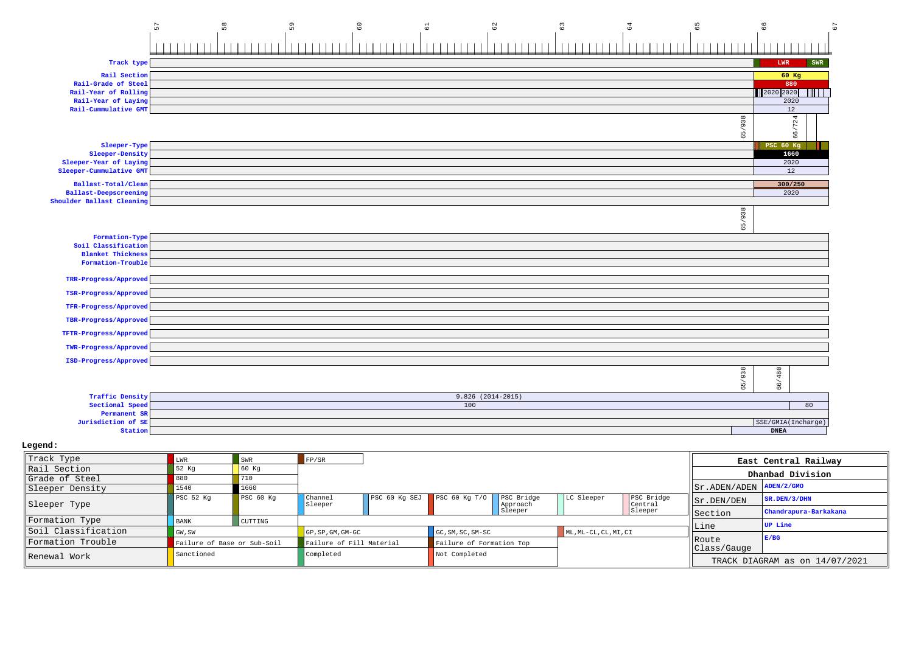|                                                                            | 57                | $_{58}$           | 59      | $\mathbb{S}^0$<br>$\overline{\omega}$ | $^{\circ}_{\circ}$  |            | $63\,$     | 64         | 59           | 66<br>57                   |
|----------------------------------------------------------------------------|-------------------|-------------------|---------|---------------------------------------|---------------------|------------|------------|------------|--------------|----------------------------|
|                                                                            |                   |                   |         |                                       |                     |            |            |            |              |                            |
| Track type                                                                 |                   |                   |         |                                       |                     |            |            |            |              | LWR<br><b>SWR</b>          |
| Rail Section                                                               |                   |                   |         |                                       |                     |            |            |            |              | 60 Kg                      |
| Rail-Grade of Steel                                                        |                   |                   |         |                                       |                     |            |            |            |              | 880                        |
| Rail-Year of Rolling                                                       |                   |                   |         |                                       |                     |            |            |            |              | 2020 2020                  |
| Rail-Year of Laying<br>Rail-Cummulative GMT                                |                   |                   |         |                                       |                     |            |            |            |              | 2020<br>12                 |
|                                                                            |                   |                   |         |                                       |                     |            |            |            | 65/938       | /724<br>66                 |
| Sleeper-Type                                                               |                   |                   |         |                                       |                     |            |            |            |              | PSC 60 Kg                  |
| Sleeper-Density                                                            |                   |                   |         |                                       |                     |            |            |            |              | 1660                       |
| Sleeper-Year of Laying                                                     |                   |                   |         |                                       |                     |            |            |            |              | 2020<br>12                 |
| Sleeper-Cummulative GMT                                                    |                   |                   |         |                                       |                     |            |            |            |              |                            |
| Ballast-Total/Clean                                                        |                   |                   |         |                                       |                     |            |            |            |              | 300/250                    |
| Ballast-Deepscreening<br>Shoulder Ballast Cleaning                         |                   |                   |         |                                       |                     |            |            |            |              | 2020                       |
|                                                                            |                   |                   |         |                                       |                     |            |            |            | 65/938       |                            |
| Formation-Type                                                             |                   |                   |         |                                       |                     |            |            |            |              |                            |
| Soil Classification<br><b>Blanket Thickness</b>                            |                   |                   |         |                                       |                     |            |            |            |              |                            |
| Formation-Trouble                                                          |                   |                   |         |                                       |                     |            |            |            |              |                            |
|                                                                            |                   |                   |         |                                       |                     |            |            |            |              |                            |
| TRR-Progress/Approved                                                      |                   |                   |         |                                       |                     |            |            |            |              |                            |
| TSR-Progress/Approved                                                      |                   |                   |         |                                       |                     |            |            |            |              |                            |
| TFR-Progress/Approved                                                      |                   |                   |         |                                       |                     |            |            |            |              |                            |
| TBR-Progress/Approved                                                      |                   |                   |         |                                       |                     |            |            |            |              |                            |
| TFTR-Progress/Approved                                                     |                   |                   |         |                                       |                     |            |            |            |              |                            |
| TWR-Progress/Approved                                                      |                   |                   |         |                                       |                     |            |            |            |              |                            |
| ISD-Progress/Approved                                                      |                   |                   |         |                                       |                     |            |            |            |              |                            |
|                                                                            |                   |                   |         |                                       |                     |            |            |            | 65/938       | 66/480                     |
| <b>Traffic Density</b>                                                     |                   |                   |         |                                       | $9.826$ (2014-2015) |            |            |            |              |                            |
| Sectional Speed                                                            |                   |                   |         |                                       | 100                 |            |            |            |              | 80                         |
| Permanent SR                                                               |                   |                   |         |                                       |                     |            |            |            |              | SSE/GMIA(Incharge)         |
|                                                                            |                   |                   |         |                                       |                     |            |            |            |              |                            |
| Jurisdiction of SE<br>Station                                              |                   |                   |         |                                       |                     |            |            |            |              | ${\tt DNEA}$               |
|                                                                            |                   |                   |         |                                       |                     |            |            |            |              |                            |
|                                                                            | LWR               | ${\tt SWR}$       | FP/SR   |                                       |                     |            |            |            |              |                            |
|                                                                            | 52 Kg             | 60 Kg             |         |                                       |                     |            |            |            |              | East Central Railway       |
|                                                                            | 880               | 710               |         |                                       |                     |            |            |            |              | Dhanbad Division           |
| Legend:<br>Track Type<br>Rail Section<br>Grade of Steel<br>Sleeper Density | 1540<br>PSC 52 Kg | 1660<br>PSC 60 Kg | Channel | PSC 60 Kg SEJ                         | PSC 60 Kg T/O       | PSC Bridge | LC Sleeper | PSC Bridge | Sr.ADEN/ADEN | ADEN/2/GMO<br>SR.DEN/3/DHN |

| Sleeper Type        | PSC 52 Kg                   | PSC 60 Kq | Channel<br>Sleeper              |                                                      | PSC 60 Kg SEJ PSC 60 Kg T/O PSC Bridge | Approach | LC Sleeper            | PSC Bridge<br>Central | Sr.DEN/DEN                     | SK.DEN/3/DHN          |
|---------------------|-----------------------------|-----------|---------------------------------|------------------------------------------------------|----------------------------------------|----------|-----------------------|-----------------------|--------------------------------|-----------------------|
|                     |                             |           |                                 |                                                      |                                        | Sleeper  |                       | Sleeper               | <b>Section</b>                 | Chandrapura-Barkakana |
| Formation Type      | <b>BANK</b>                 | CUTTING   |                                 |                                                      |                                        |          |                       |                       |                                | UP Line               |
| soil Classification | GW, SW                      |           | $\overline{GP}$ . SP. GM. GM-GC |                                                      | GC.SM.SC.SM-SC                         |          | ML, ML-CL, CL, MI, CI |                       | Line                           |                       |
| lFormation Trouble  | Failure of Base or Sub-Soil |           |                                 | Failure of Formation Top<br>Failure of Fill Material |                                        |          |                       |                       | Route                          | E/BG                  |
|                     | Sanctioned                  |           | Completed                       |                                                      | Not Completed                          |          |                       |                       | lclass/Gauge                   |                       |
| Renewal Work        |                             |           |                                 |                                                      |                                        |          |                       |                       | TRACK DIAGRAM as on 14/07/2021 |                       |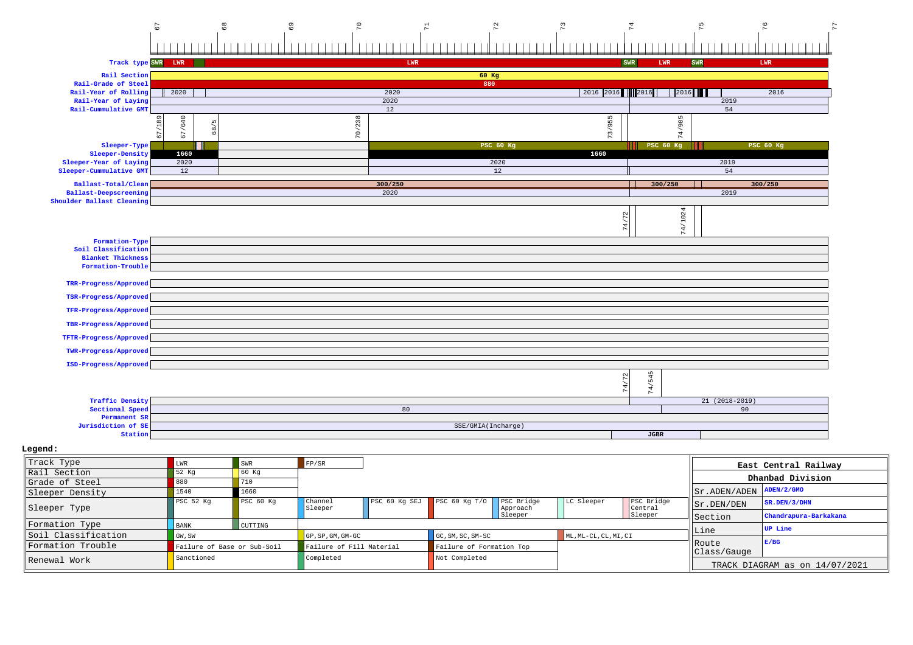

 **Legend:**

| Track Type          | LWR         | <b>SWR</b>                  | FP/SR                            |                 |                          |                        |            |                       |                              | East Central Railway           |
|---------------------|-------------|-----------------------------|----------------------------------|-----------------|--------------------------|------------------------|------------|-----------------------|------------------------------|--------------------------------|
| Rail Section        | 52 Kg       |                             |                                  |                 |                          |                        |            |                       |                              | Dhanbad Division               |
| Grade of Steel      | 880         | 710                         |                                  |                 |                          |                        |            |                       |                              |                                |
| Sleeper Density     | 1540        | 1660                        |                                  |                 |                          |                        |            |                       | Sr.ADEN/ADEN                 | ADEN/2/GMO                     |
| Sleeper Type        | PSC 52 Kq   | PSC 60 Kq                   | Channel<br>Sleeper               | $PSC$ 60 Kg SEJ | PSC $60$ Kq $T/0$        | PSC Bridge<br>Approach | LC Sleeper | PSC Bridge<br>Central | Sr.DEN/DEN                   | SR.DEN/3/DHN                   |
|                     |             |                             |                                  |                 |                          | Sleeper                |            | Sleeper               | Section                      | Chandrapura-Barkakana          |
| Formation Type      | <b>BANK</b> | CUTTING                     |                                  |                 |                          |                        |            |                       | lLine                        | UP Line                        |
| Soil Classification | GW, SW      |                             | $GP$ , $SP$ , $GM$ , $GM$ - $GC$ |                 | GC, SM, SC, SM-SC        |                        |            | ML, ML-CL, CL, MI, CI |                              |                                |
| Formation Trouble   |             | Failure of Base or Sub-Soil | Failure of Fill Material         |                 | Failure of Formation Top |                        |            |                       | <b>IRoute</b><br>Class/Gauge | E/BG                           |
| Renewal Work        | Sanctioned  |                             | Completed                        |                 | Not Completed            |                        |            |                       |                              | TRACK DIAGRAM as on 14/07/2021 |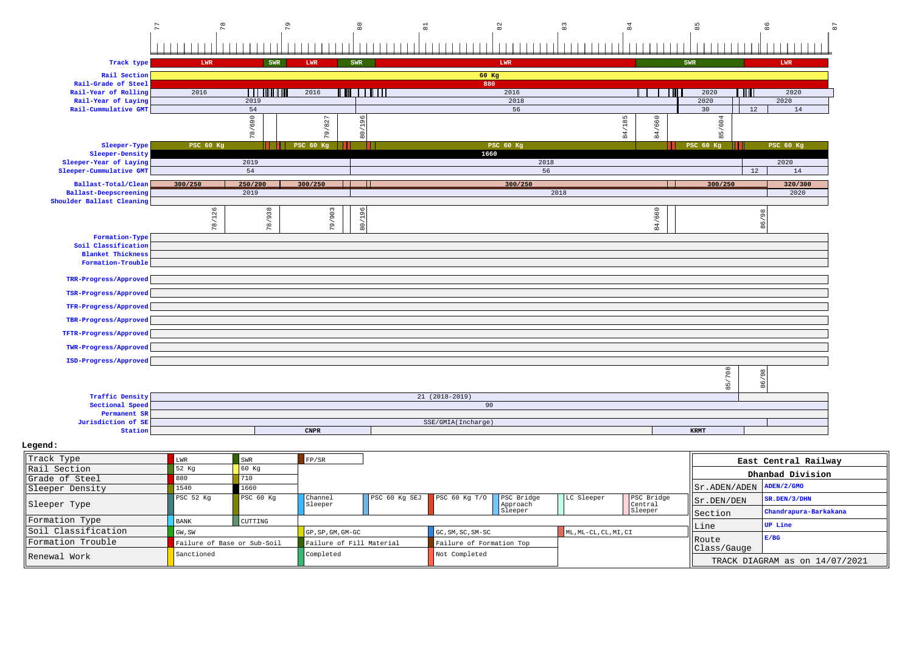| $\overline{7}$                              | 78               | 64                         | $^{\circ}_{\rm 80}$           | $\overline{a}$  | 82                 | $_{\rm 83}$ | 84                                 | 85               | 86               |  |
|---------------------------------------------|------------------|----------------------------|-------------------------------|-----------------|--------------------|-------------|------------------------------------|------------------|------------------|--|
|                                             |                  |                            |                               |                 |                    |             |                                    |                  |                  |  |
| Track type                                  | LWR              | SWR                        | SWR<br>LWR                    |                 | LWR                |             |                                    | SWR              | LWR              |  |
| Rail Section                                |                  |                            |                               |                 | 60 Kg              |             |                                    |                  |                  |  |
| Rail-Grade of Steel                         |                  |                            |                               |                 | 880                |             |                                    |                  |                  |  |
| Rail-Year of Rolling                        | 2016             | <u> I wa mai kuto wa m</u> | <u>TIIN TIIN TIID</u><br>2016 |                 | 2016               |             |                                    | 2020             | TITL<br>2020     |  |
| Rail-Year of Laying<br>Rail-Cummulative GMT |                  | 2019<br>54                 |                               |                 | 2018<br>56         |             |                                    | 2020<br>30       | 2020<br>12<br>14 |  |
|                                             |                  |                            |                               |                 |                    |             |                                    |                  |                  |  |
|                                             |                  | 78/690                     | 196<br>/827                   |                 |                    |             | /185<br>/660                       | 85/604           |                  |  |
|                                             |                  |                            | 79.<br>$\overline{80}$        |                 |                    |             | $\overline{84}$<br>$\overline{84}$ |                  |                  |  |
| Sleeper-Type                                | <b>PSC 60 Kg</b> |                            | <b>PSC 60 Kg</b>              |                 | <b>PSC 60 Kg</b>   |             |                                    | <b>PSC 60 Kg</b> | <b>PSC 60 Kg</b> |  |
| Sleeper-Density                             |                  |                            |                               |                 | 1660               |             |                                    |                  |                  |  |
| Sleeper-Year of Laying                      |                  | 2019                       |                               |                 |                    | 2018<br>56  |                                    |                  | 2020<br>14       |  |
| Sleeper-Cummulative GMT                     |                  | 54                         |                               |                 |                    |             |                                    |                  | 12               |  |
| Ballast-Total/Clean                         | 300/250          | 250/200                    | 300/250                       |                 | 300/250            |             |                                    | 300/250          | 320/300          |  |
| <b>Ballast-Deepscreening</b>                |                  | 2019                       |                               |                 |                    | 2018        |                                    |                  | 2020             |  |
| Shoulder Ballast Cleaning                   |                  |                            |                               |                 |                    |             |                                    |                  |                  |  |
|                                             | 78/126           | 78/938                     | 79/903<br>96                  |                 |                    |             | 4/660                              |                  | $^{96}$          |  |
|                                             |                  |                            | 80/1                          |                 |                    |             | $\infty$                           |                  | 86/              |  |
| Formation-Type                              |                  |                            |                               |                 |                    |             |                                    |                  |                  |  |
| Soil Classification                         |                  |                            |                               |                 |                    |             |                                    |                  |                  |  |
| <b>Blanket Thickness</b>                    |                  |                            |                               |                 |                    |             |                                    |                  |                  |  |
| Formation-Trouble                           |                  |                            |                               |                 |                    |             |                                    |                  |                  |  |
| TRR-Progress/Approved                       |                  |                            |                               |                 |                    |             |                                    |                  |                  |  |
| TSR-Progress/Approved                       |                  |                            |                               |                 |                    |             |                                    |                  |                  |  |
| TFR-Progress/Approved                       |                  |                            |                               |                 |                    |             |                                    |                  |                  |  |
| TBR-Progress/Approved                       |                  |                            |                               |                 |                    |             |                                    |                  |                  |  |
| TFTR-Progress/Approved                      |                  |                            |                               |                 |                    |             |                                    |                  |                  |  |
| TWR-Progress/Approved                       |                  |                            |                               |                 |                    |             |                                    |                  |                  |  |
| ISD-Progress/Approved                       |                  |                            |                               |                 |                    |             |                                    |                  |                  |  |
|                                             |                  |                            |                               |                 |                    |             |                                    | 708              | 8                |  |
|                                             |                  |                            |                               |                 |                    |             |                                    | 85               | 98               |  |
| <b>Traffic Density</b>                      |                  |                            |                               | $21(2018-2019)$ |                    |             |                                    |                  |                  |  |
| Sectional Speed                             |                  |                            |                               |                 | 90                 |             |                                    |                  |                  |  |
| Permanent SR                                |                  |                            |                               |                 |                    |             |                                    |                  |                  |  |
| Jurisdiction of SE                          |                  |                            |                               |                 | SSE/GMIA(Incharge) |             |                                    |                  |                  |  |
| Station                                     |                  |                            | $C\texttt{NPR}$               |                 |                    |             |                                    | <b>KRMT</b>      |                  |  |

 **Legend:**

| Track Type          | LWR                         | <b>SWR</b> | FP/SR                            |               |                          |                        |                       |                       |                                | East Central Railway  |  |
|---------------------|-----------------------------|------------|----------------------------------|---------------|--------------------------|------------------------|-----------------------|-----------------------|--------------------------------|-----------------------|--|
| Rail Section        | 52 Kg                       |            |                                  |               |                          |                        |                       |                       |                                | Dhanbad Division      |  |
| Grade of Steel      |                             | 710        |                                  |               |                          |                        |                       |                       |                                |                       |  |
| Sleeper Density     | 1540                        | 1660       |                                  |               |                          |                        |                       |                       | Sr.ADEN/ADEN                   | ADEN/2/GMO            |  |
| Sleeper Type        | PSC 52 Kq                   | PSC 60 Kq  | Channel<br>Sleeper               | PSC 60 Kg SEJ | PSC 60 Kg $T/O$          | PSC Bridge<br>Approach | LC Sleeper            | PSC Bridge<br>Central | Sr.DEN/DEN                     | SR.DEN/3/DHN          |  |
|                     |                             |            |                                  |               |                          | Sleeper                |                       | Sleeper               | Section                        | Chandrapura-Barkakana |  |
| Formation Type      | <b>BANK</b>                 | CUTTING    |                                  |               |                          |                        |                       |                       |                                | <b>UP</b> Line        |  |
| Soil Classification | GW, SW                      |            | $GP$ , $SP$ , $GM$ , $GM$ - $GC$ |               | GC, SM, SC, SM-SC        |                        | ML, ML-CL, CL, MI, CI |                       | Line                           |                       |  |
| Formation Trouble   | Failure of Base or Sub-Soil |            | Failure of Fill Material         |               | Failure of Formation Top |                        |                       |                       | Route                          | E/BG                  |  |
| Renewal Work        | Sanctioned                  |            | Completed                        |               |                          | Not Completed          |                       |                       | Class/Gauge                    |                       |  |
|                     |                             |            |                                  |               |                          |                        |                       |                       | TRACK DIAGRAM as on 14/07/2021 |                       |  |